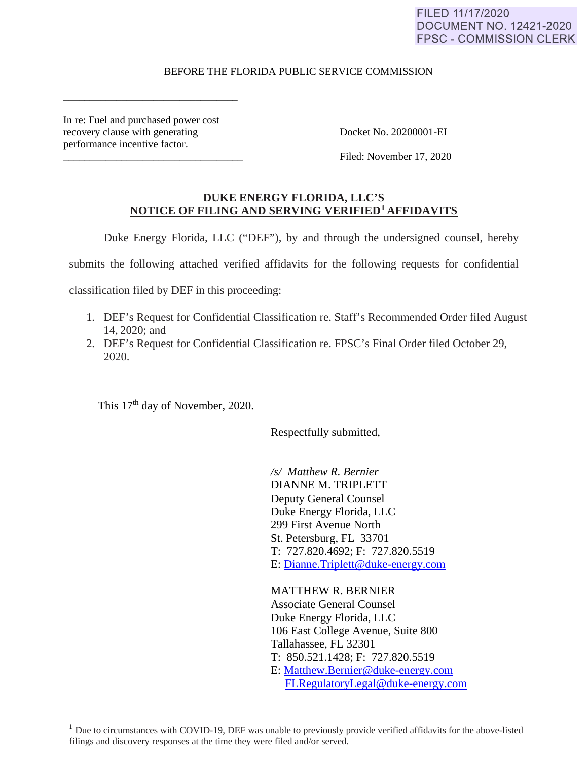# FILED 11/17/2020 **DOCUMENT NO. 12421-2020 FPSC - COMMISSION CLERK**

## BEFORE THE FLORIDA PUBLIC SERVICE COMMISSION

In re: Fuel and purchased power cost recovery clause with generating Docket No. 20200001-EI performance incentive factor.

\_\_\_\_\_\_\_\_\_\_\_\_\_\_\_\_\_\_\_\_\_\_\_\_\_\_\_\_\_\_\_\_\_

Filed: November 17, 2020

## **DUKE ENERGY FLORIDA, LLC'S NOTICE OF FILING AND SERVING VERIFIED1 AFFIDAVITS**

Duke Energy Florida, LLC ("DEF"), by and through the undersigned counsel, hereby

submits the following attached verified affidavits for the following requests for confidential

classification filed by DEF in this proceeding:

- 1. DEF's Request for Confidential Classification re. Staff's Recommended Order filed August 14, 2020; and
- 2. DEF's Request for Confidential Classification re. FPSC's Final Order filed October 29, 2020.

This 17<sup>th</sup> day of November, 2020.

Respectfully submitted,

*/s/ Matthew R. Bernier* DIANNE M. TRIPLETT Deputy General Counsel Duke Energy Florida, LLC 299 First Avenue North St. Petersburg, FL 33701 T: 727.820.4692; F: 727.820.5519 E: Dianne.Triplett@duke-energy.com

MATTHEW R. BERNIER Associate General Counsel Duke Energy Florida, LLC 106 East College Avenue, Suite 800 Tallahassee, FL 32301 T: 850.521.1428; F: 727.820.5519 E: Matthew.Bernier@duke-energy.com FLRegulatoryLegal@duke-energy.com

 $<sup>1</sup>$  Due to circumstances with COVID-19, DEF was unable to previously provide verified affidavits for the above-listed</sup> filings and discovery responses at the time they were filed and/or served.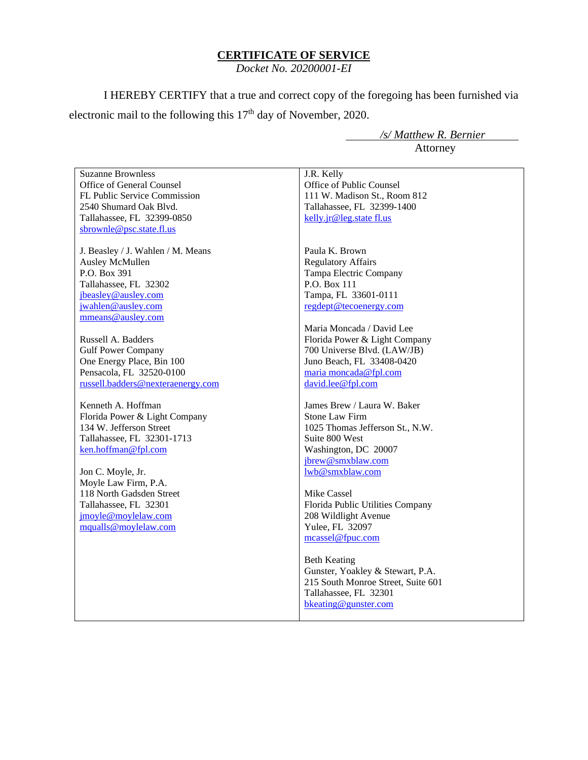### **CERTIFICATE OF SERVICE**

*Docket No. 20200001-EI*

I HEREBY CERTIFY that a true and correct copy of the foregoing has been furnished via electronic mail to the following this 17<sup>th</sup> day of November, 2020.

> */s/ Matthew R. Bernier* Attorney

Suzanne Brownless Office of General Counsel FL Public Service Commission 2540 Shumard Oak Blvd. Tallahassee, FL 32399-0850 sbrownle@psc.state.fl.us J. Beasley / J. Wahlen / M. Means Ausley McMullen P.O. Box 391 Tallahassee, FL 32302 jbeasley@ausley.com jwahlen@ausley.com mmeans@ausley.com Russell A. Badders Gulf Power Company One Energy Place, Bin 100 Pensacola, FL 32520-0100 russell.badders@nexteraenergy.com Kenneth A. Hoffman Florida Power & Light Company 134 W. Jefferson Street Tallahassee, FL 32301-1713 ken.hoffman@fpl.com Jon C. Moyle, Jr. Moyle Law Firm, P.A. 118 North Gadsden Street Tallahassee, FL 32301 jmoyle@moylelaw.com mqualls@moylelaw.com J.R. Kelly Office of Public Counsel 111 W. Madison St., Room 812 Tallahassee, FL 32399-1400 kelly.jr@leg.state fl.us Paula K. Brown Regulatory Affairs Tampa Electric Company P.O. Box 111 Tampa, FL 33601-0111 regdept@tecoenergy.com Maria Moncada / David Lee Florida Power & Light Company 700 Universe Blvd. (LAW/JB) Juno Beach, FL 33408-0420 maria moncada@fpl.com david.lee@fpl.com James Brew / Laura W. Baker Stone Law Firm 1025 Thomas Jefferson St., N.W. Suite 800 West Washington, DC 20007 jbrew@smxblaw.com lwb@smxblaw.com Mike Cassel Florida Public Utilities Company 208 Wildlight Avenue Yulee, FL 32097 mcassel@fpuc.com Beth Keating Gunster, Yoakley & Stewart, P.A. 215 South Monroe Street, Suite 601 Tallahassee, FL 32301 bkeating@gunster.com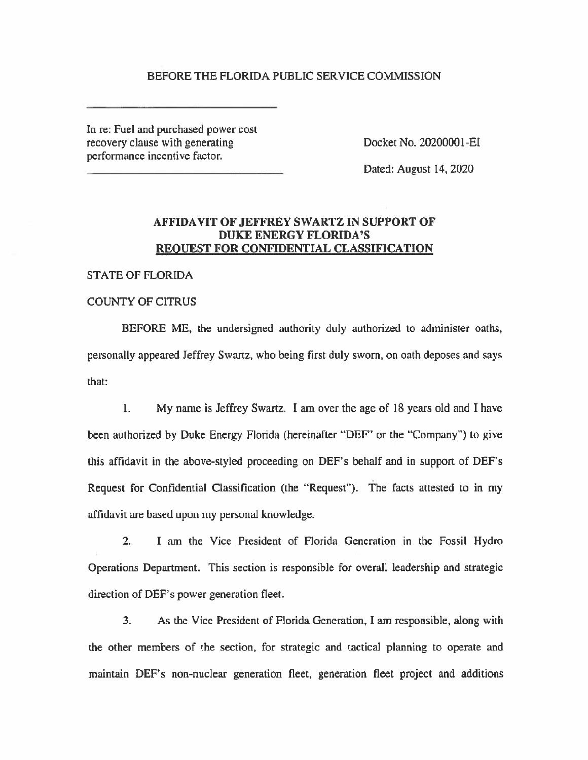### BEFORE THE FLORIDA PUBLIC SERVICE COMMISSION

In re: Fuel and purchased power cost recovery clause with generating perfonnance incentive factor.

Docket No. 20200001 -EI

Dated: August 14, 2020

# **AFFIDAVIT OF JEFFREY SWARTZ IN SUPPORT OF DUKE ENERGY FLORIDA'S REQUEST FOR CONFIDENTIAL CLASSIFICATION**

STATE OF FLORIDA

# COUNTY OF CITRUS

BEFORE ME, the undersigned authority duly authorized to administer oaths, personally appeared Jeffrey Swartz, who being first duly sworn, on oath deposes and says that:

1. My name is Jeffrey Swartz. I am over the age of 18 years old and I have been authorized by Duke Energy Florida (hereinafter "DEF' or the "Company") to give this affidavit in the above-styled proceeding on DEF's behalf and in support of DEF's Request for Confidential Classification (the "Request"). The facts attested to in my affidavit are based upon my personal knowledge.

2. I am the Vice President of Florida Generation in the Fossil Hydro Operations Department. This section is responsible for overall leadership and strategic direction of DEF's power generation fleet.

3. As the Vice President of Florida Generation, I am responsible, along with the other members of the section, for strategic and tactical planning to operate and maintain DEF's non-nuclear generation fleet, generation fleet project and additions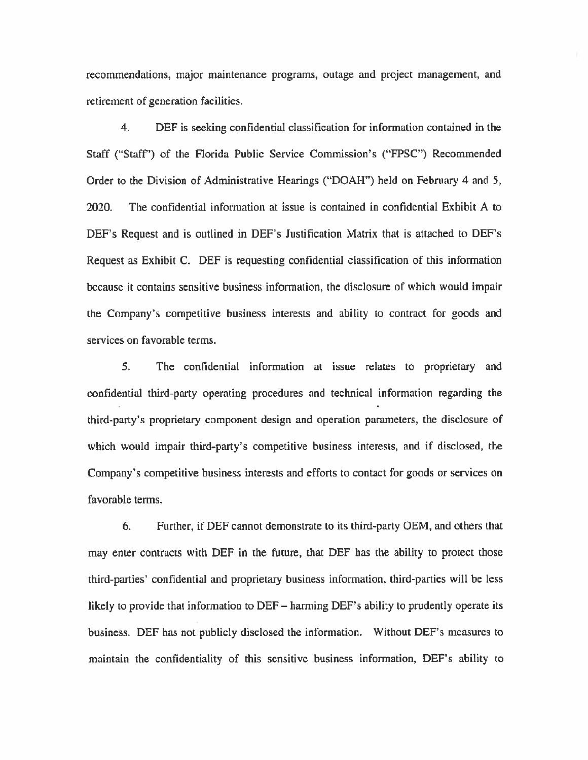recommendations, major maintenance programs, outage and project management, and retirement of generation facilities.

4. DEF is seeking confidential classification for information contained in the Staff ("Staff'') of the Florida Public Service Commission's ("FPSC") Recommended Order to the Division of Administrative Hearings ("DOAH") held on February 4 and *5,*  2020. The confidential information at issue is contained in confidential Exhibit A to DEF's Request and is outlined in DEF's Justification Matrix that is attached to DEF's Request as Exhibit C. DEF is requesting confidential classification of this information because it contains sensitive business information, the disclosure of which would impair the Company's competitive business interests and ability to contract for goods and services on favorable terms.

*5.* The confidential information at issue relates to proprietary and confidential third-party operating procedures and technical information regarding the third-party's proprietary component design and operation parameters, the disclosure of which would impair third-party's competitive business interests, and if disclosed, the Company's competitive business interests and efforts to contact for goods or services on favorable terms.

6. Further, if DEF cannot demonstrate to its third-party OEM, and others that may enter contracts with DEF in the future, that DEF has the ability to protect those third-parties' confidential and proprietary business information, third-parties will be less likely to provide that information to DEF- harming DEF's ability to prudently operate its business. DEF has not publicly disclosed the information. Without DEF's measures to maintain the confidentiality of this sensitive business information, DEF's ability to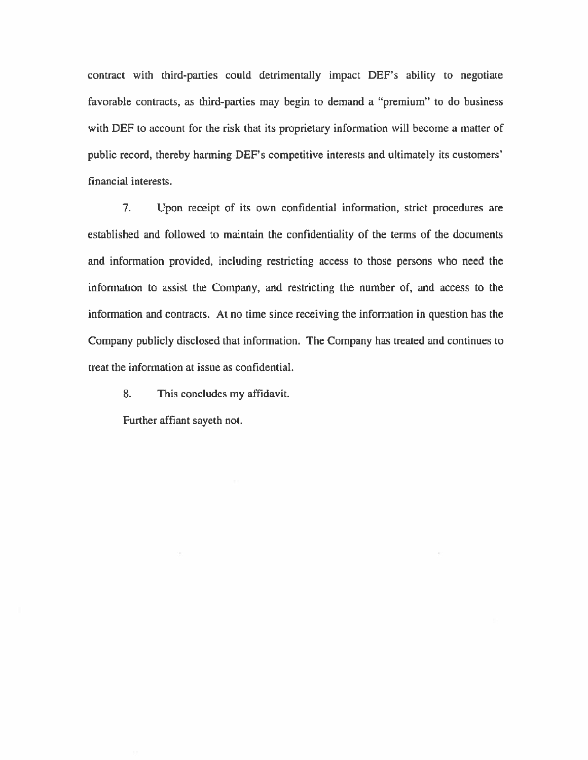contract with third-parties could detrimentally impact DEF's ability to negotiate favorable contracts, as third-parties may begin to demand a "premium" to do business with DEF to account for the risk that its proprietary information will become a matter of public record, thereby harming DEF's competitive interests and ultimately its customers' financial interests.

7. Upon receipt of its own confidential information, strict procedures are established and followed to maintain the confidentiality of the terms of the documents and infonnation provided, including restricting access to those persons who need the information to assist the Company, and restricting the number of, and access to the information and contracts. At no time since receiving the information in question has the Company publicly disclosed that information. The Company has treated and continues to treat the information at issue *as* confidential.

8. This concludes my affidavit.

Further affiant sayeth not.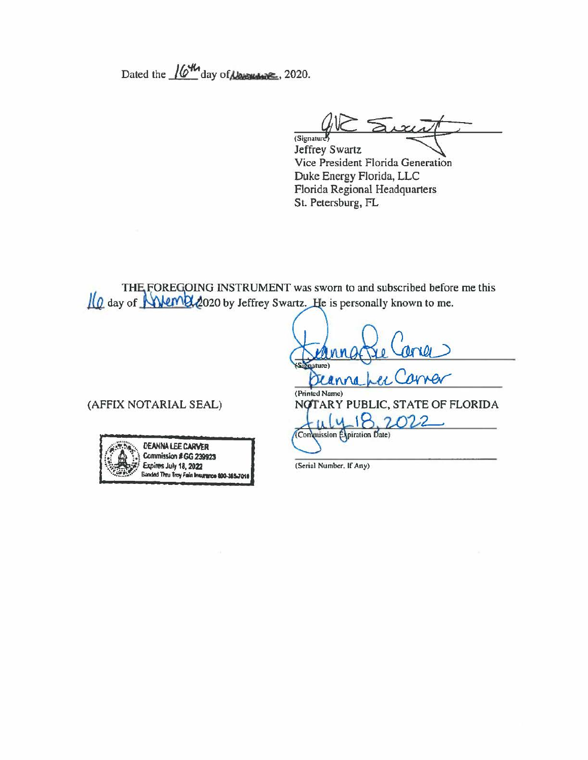Dated the  $\sqrt{6^{44}t}$  day of  $\mu_{\text{max}}$ , 2020.

 $\sum x_i$ (Signature)

Jeffrey Swartz Vice President Florida Generation Duke Energy Florida, LLC Florida Regional Headquarters St. Petersburg, FL

THE FOREGOING INSTRUMENT was sworn to and subscribed before me this Il ay of **Wem22020** by Jeffrey Swartz. He is personally known to me.

ature) Deanna (Printed Name) (AFFIX NOTARIAL SEAL) NOTARY PUBLIC, STATE OF FLORIDA  $18$  $\overline{u}$ 2022 (Commission Expiration Date)



(Serial Number, If Any)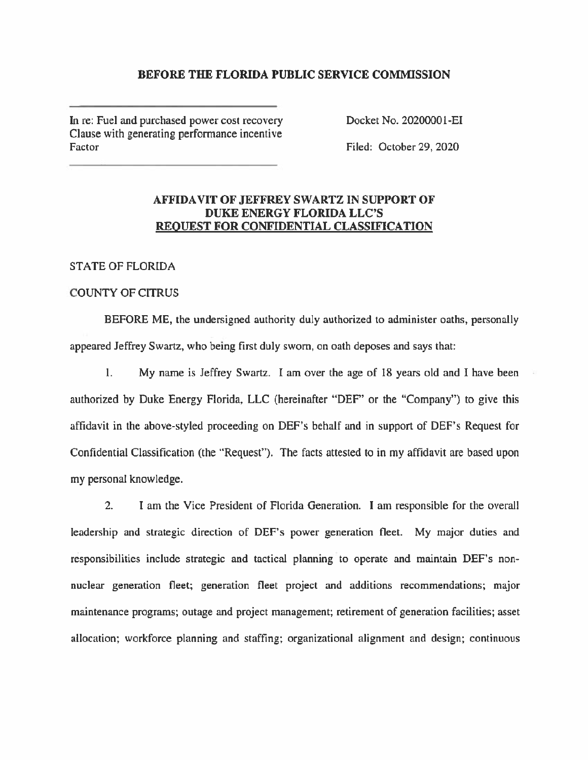## **BEFORE THE FLORIDA PUBLIC SERVICE COMMISSION**

In re: Fuel and purchased power cost recovery Clause with generating performance incentive Factor

Docket No. 20200001-EI

Filed: October 29, 2020

# **AFFIDAVIT OF JEFFREY SWARTZ IN SUPPORT OF DUKE ENERGY FLORIDA LLC'S REQUEST FOR CONFIDENTIAL CLASSIFICATION**

STATE OF FLORIDA

### COUNTY OF CITRUS

BEFORE ME, the undersigned authority duly authorized to administer oaths, personally appeared Jeffrey Swartz, who being first duly sworn, on oath deposes and says that:

l. My name is Jeffrey Swartz. I am over the age of 18 years old and I have been authorized by Duke Energy Florida, **LLC** (hereinafter "DEP' or the "Company") to give this affidavit in the above-styled proceeding on DEF's behalf and in support of DEF's Request for Confidential Classification (the "Request"). The facts attested to in my affidavit are based upon my personal knowledge.

2. I am the Vice President of Florida Generation. I am responsible for the overall leadership and strategic direction of DEF's power generation fleet. My major duties and responsibilities include strategic and tactical planning to operate and maintain DEF's nonnuclear generation fleet; generation fleet project and additions recommendations; major maintenance programs; outage and project management; retirement of generation facilities; asset allocation; workforce planning and staffing; organizational alignment and design; continuous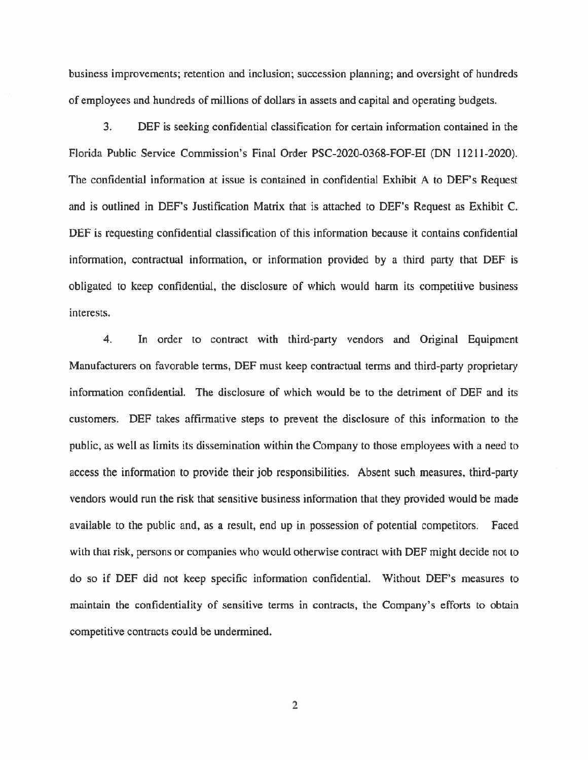business improvements; retention and inclusion; succession planning; and oversight of hundreds of employees and hundreds of millions of dollars in assets and capital and operating budgets.

3. DEF is seeking confidential classification for certain information contained in the Florida Public Service Commission's Final Order PSC-2020-0368-FOF-EI (DN l 1211-2020). The confidential information at issue is contained in confidential Exhibit A *to* DEF's Request and is outlined in DEF's Justification Matrix that is attached to DEF's Request as Exhibit C. DEF is requesting confidential classification of this information because it contains confidential information, contractual information, or infonnation provided by a third party that DEF is obligated to keep confidential, the disclosure of which would harm its competitive business interests.

4. In order to contract with third-party vendors and Original Equipment Manufacturers on favorable terms, DEF must keep contractual terms and third-party proprietary information confidential. The disclosure of which would be to the detriment of DEF and its customers. DEF takes affirmative steps to prevent the disclosure of this information to the public, as well as limits its dissemination within the Company to those employees with a need to access the information to provide their job responsibilities. Absent such measures, third-party vendors would run the risk that sensitive business information that they provided would be made available to the public and, as a result, end up in possession of potential competitors. Faced with that risk, persons or companies who would otherwise contract with DEF might decide not to do so if DEF did not keep specific information confidential. Without DEF's measures to maintain the confidentiality of sensitive terms in contracts, the Company's efforts to obtain competitive contracts could be undermined.

2